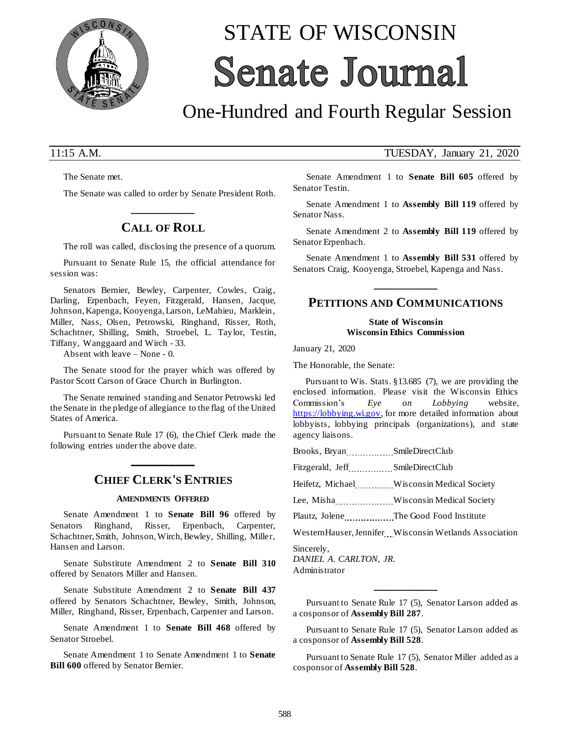

# STATE OF WISCONSIN **Senate Journal**

## One-Hundred and Fourth Regular Session

The Senate met.

The Senate was called to order by Senate President Roth.

## **\_\_\_\_\_\_\_\_\_\_\_\_\_ CALL OF ROLL**

The roll was called, disclosing the presence of a quorum.

Pursuant to Senate Rule 15, the official attendance for session was:

Senators Bernier, Bewley, Carpenter, Cowles, Craig, Darling, Erpenbach, Feyen, Fitzgerald, Hansen, Jacque, Johnson, Kapenga, Kooyenga, Larson, LeMahieu, Marklein, Miller, Nass, Olsen, Petrowski, Ringhand, Risser, Roth, Schachtner, Shilling, Smith, Stroebel, L. Taylor, Testin, Tiffany, Wanggaard and Wirch - 33.

Absent with leave – None - 0.

The Senate stood for the prayer which was offered by Pastor Scott Carson of Grace Church in Burlington.

The Senate remained standing and Senator Petrowski led the Senate in the pledge of allegiance to the flag of the United States of America.

Pursuant to Senate Rule 17 (6), the Chief Clerk made the following entries under the above date.

**\_\_\_\_\_\_\_\_\_\_\_\_\_**

## **CHIEF CLERK'S ENTRIES**

#### **AMENDMENTS OFFERED**

Senate Amendment 1 to **Senate Bill 96** offered by Senators Ringhand, Risser, Erpenbach, Carpenter, Schachtner, Smith, Johnson, Wirch, Bewley, Shilling, Miller, Hansen and Larson.

Senate Substitute Amendment 2 to **Senate Bill 310** offered by Senators Miller and Hansen.

Senate Substitute Amendment 2 to **Senate Bill 437** offered by Senators Schachtner, Bewley, Smith, Johnson, Miller, Ringhand, Risser, Erpenbach, Carpenter and Larson.

Senate Amendment 1 to **Senate Bill 468** offered by Senator Stroebel.

Senate Amendment 1 to Senate Amendment 1 to **Senate Bill 600** offered by Senator Bernier.

### 11:15 A.M. TUESDAY, January 21, 2020

Senate Amendment 1 to **Senate Bill 605** offered by Senator Testin.

Senate Amendment 1 to **Assembly Bill 119** offered by Senator Nass.

Senate Amendment 2 to **Assembly Bill 119** offered by Senator Erpenbach.

Senate Amendment 1 to **Assembly Bill 531** offered by Senators Craig, Kooyenga, Stroebel, Kapenga and Nass.

## **\_\_\_\_\_\_\_\_\_\_\_\_\_ PETITIONS AND COMMUNICATIONS**

**State of Wisconsin Wisconsin Ethics Commission**

January 21, 2020

The Honorable, the Senate:

Pursuant to Wis. Stats. §13.685 (7), we are providing the enclosed information. Please visit the Wisconsin Ethics Commission's *Eye on Lobbying* website, [https://lobbying.wi.gov,](https://lobbying.wi.gov/) for more detailed information about lobbyists, lobbying principals (organizations), and state agency liaisons.

Brooks, Bryan SmileDirectClub

Fitzgerald, Jeff SmileDirectClub

Heifetz, Michael Wisconsin Medical Society

Lee, Misha Wisconsin Medical Society

Plautz, Jolene The Good Food Institute

WesternHauser, Jennifer Wisconsin Wetlands Association

Sincerely, *DANIEL A. CARLTON, JR.* Administrator

Pursuant to Senate Rule 17 (5), Senator Larson added as a cosponsor of **Assembly Bill 287**.

**\_\_\_\_\_\_\_\_\_\_\_\_\_**

Pursuant to Senate Rule 17 (5), Senator Larson added as a cosponsor of **Assembly Bill 528**.

Pursuant to Senate Rule 17 (5), Senator Miller added as a cosponsor of **Assembly Bill 528**.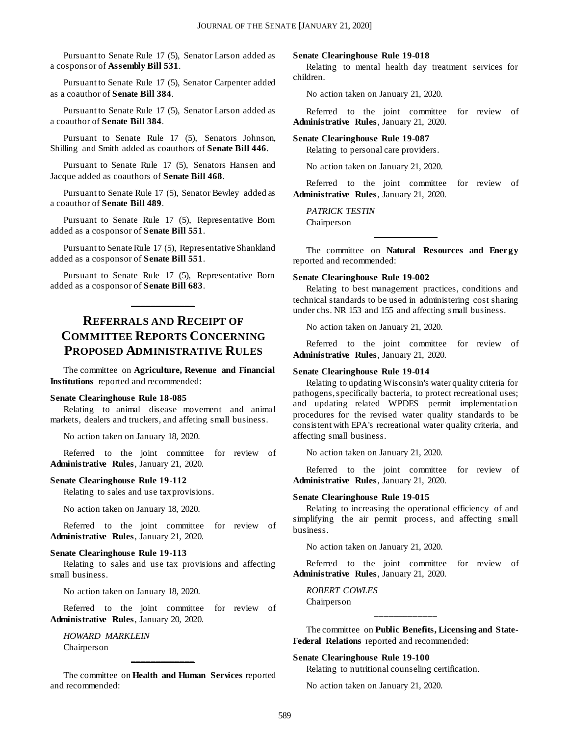Pursuant to Senate Rule 17 (5), Senator Larson added as a cosponsor of **Assembly Bill 531**.

Pursuant to Senate Rule 17 (5), Senator Carpenter added as a coauthor of **Senate Bill 384**.

Pursuant to Senate Rule 17 (5), Senator Larson added as a coauthor of **Senate Bill 384**.

Pursuant to Senate Rule 17 (5), Senators Johnson, Shilling and Smith added as coauthors of **Senate Bill 446**.

Pursuant to Senate Rule 17 (5), Senators Hansen and Jacque added as coauthors of **Senate Bill 468**.

Pursuant to Senate Rule 17 (5), Senator Bewley added as a coauthor of **Senate Bill 489**.

Pursuant to Senate Rule 17 (5), Representative Born added as a cosponsor of **Senate Bill 551**.

Pursuant to Senate Rule 17 (5), Representative Shankland added as a cosponsor of **Senate Bill 551**.

Pursuant to Senate Rule 17 (5), Representative Born added as a cosponsor of **Senate Bill 683**.

**\_\_\_\_\_\_\_\_\_\_\_\_\_**

## **REFERRALS AND RECEIPT OF COMMITTEE REPORTS CONCERNING PROPOSED ADMINISTRATIVE RULES**

The committee on **Agriculture, Revenue and Financial Institutions** reported and recommended:

#### **Senate Clearinghouse Rule 18-085**

Relating to animal disease movement and animal markets, dealers and truckers, and affeting small business.

No action taken on January 18, 2020.

Referred to the joint committee for review of **Administrative Rules**, January 21, 2020.

#### **Senate Clearinghouse Rule 19-112**

Relating to sales and use tax provisions.

No action taken on January 18, 2020.

Referred to the joint committee for review of **Administrative Rules**, January 21, 2020.

#### **Senate Clearinghouse Rule 19-113**

Relating to sales and use tax provisions and affecting small business.

No action taken on January 18, 2020.

Referred to the joint committee for review of **Administrative Rules**, January 20, 2020.

*HOWARD MARKLEIN* Chairperson

The committee on **Health and Human Services** reported and recommended:

**\_\_\_\_\_\_\_\_\_\_\_\_\_**

#### **Senate Clearinghouse Rule 19-018**

Relating to mental health day treatment services for children.

No action taken on January 21, 2020.

Referred to the joint committee for review of **Administrative Rules**, January 21, 2020.

#### **Senate Clearinghouse Rule 19-087**

Relating to personal care providers.

No action taken on January 21, 2020.

Referred to the joint committee for review of **Administrative Rules**, January 21, 2020.

*PATRICK TESTIN* Chairperson

The committee on **Natural Resources and Energy** reported and recommended:

**\_\_\_\_\_\_\_\_\_\_\_\_\_**

#### **Senate Clearinghouse Rule 19-002**

Relating to best management practices, conditions and technical standards to be used in administering cost sharing under chs. NR 153 and 155 and affecting small business.

No action taken on January 21, 2020.

Referred to the joint committee for review of **Administrative Rules**, January 21, 2020.

#### **Senate Clearinghouse Rule 19-014**

Relating to updating Wisconsin's water quality criteria for pathogens, specifically bacteria, to protect recreational uses; and updating related WPDES permit implementation procedures for the revised water quality standards to be consistent with EPA's recreational water quality criteria, and affecting small business.

No action taken on January 21, 2020.

Referred to the joint committee for review of **Administrative Rules**, January 21, 2020.

#### **Senate Clearinghouse Rule 19-015**

Relating to increasing the operational efficiency of and simplifying the air permit process, and affecting small business.

No action taken on January 21, 2020.

Referred to the joint committee for review of **Administrative Rules**, January 21, 2020.

*ROBERT COWLES* Chairperson

The committee on **Public Benefits, Licensing and State-Federal Relations** reported and recommended:

**\_\_\_\_\_\_\_\_\_\_\_\_\_**

#### **Senate Clearinghouse Rule 19-100**

Relating to nutritional counseling certification.

No action taken on January 21, 2020.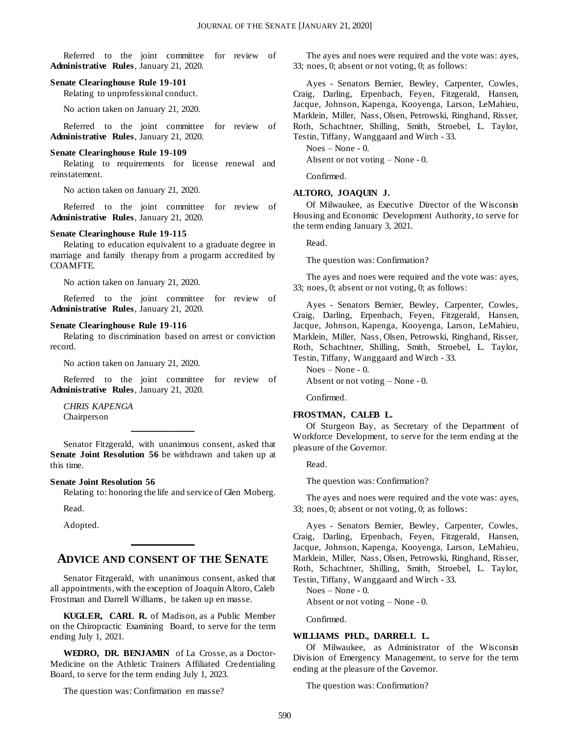Referred to the joint committee for review of **Administrative Rules**, January 21, 2020.

#### **Senate Clearinghouse Rule 19-101**

Relating to unprofessional conduct.

No action taken on January 21, 2020.

Referred to the joint committee for review of **Administrative Rules**, January 21, 2020.

#### **Senate Clearinghouse Rule 19-109**

Relating to requirements for license renewal and reinstatement.

No action taken on January 21, 2020.

Referred to the joint committee for review of **Administrative Rules**, January 21, 2020.

#### **Senate Clearinghouse Rule 19-115**

Relating to education equivalent to a graduate degree in marriage and family therapy from a progarm accredited by COAMFTE.

No action taken on January 21, 2020.

Referred to the joint committee for review of **Administrative Rules**, January 21, 2020.

#### **Senate Clearinghouse Rule 19-116**

Relating to discrimination based on arrest or conviction record.

No action taken on January 21, 2020.

Referred to the joint committee for review of **Administrative Rules**, January 21, 2020.

*CHRIS KAPENGA* Chairperson

Senator Fitzgerald, with unanimous consent, asked that **Senate Joint Resolution 56** be withdrawn and taken up at this time.

**\_\_\_\_\_\_\_\_\_\_\_\_\_**

#### **Senate Joint Resolution 56**

Relating to: honoring the life and service of Glen Moberg.

Read.

Adopted.

## **ADVICE AND CONSENT OF THE SENATE**

**\_\_\_\_\_\_\_\_\_\_\_\_\_**

Senator Fitzgerald, with unanimous consent, asked that all appointments, with the exception of Joaquin Altoro, Caleb Frostman and Darrell Williams, be taken up en masse.

**KUGLER, CARL R.** of Madison, as a Public Member on the Chiropractic Examining Board, to serve for the term ending July 1, 2021.

**WEDRO, DR. BENJAMIN** of La Crosse, as a Doctor-Medicine on the Athletic Trainers Affiliated Credentialing Board, to serve for the term ending July 1, 2023.

The question was: Confirmation en masse?

The ayes and noes were required and the vote was: ayes, 33; noes, 0; absent or not voting, 0; as follows:

Ayes - Senators Bernier, Bewley, Carpenter, Cowles, Craig, Darling, Erpenbach, Feyen, Fitzgerald, Hansen, Jacque, Johnson, Kapenga, Kooyenga, Larson, LeMahieu, Marklein, Miller, Nass, Olsen, Petrowski, Ringhand, Risser, Roth, Schachtner, Shilling, Smith, Stroebel, L. Taylor, Testin, Tiffany, Wanggaard and Wirch - 33.

Noes – None - 0.

Absent or not voting – None - 0.

Confirmed.

#### **ALTORO, JOAQUIN J.**

Of Milwaukee, as Executive Director of the Wisconsin Housing and Economic Development Authority, to serve for the term ending January 3, 2021.

Read.

The question was: Confirmation?

The ayes and noes were required and the vote was: ayes, 33; noes, 0; absent or not voting, 0; as follows:

Ayes - Senators Bernier, Bewley, Carpenter, Cowles, Craig, Darling, Erpenbach, Feyen, Fitzgerald, Hansen, Jacque, Johnson, Kapenga, Kooyenga, Larson, LeMahieu, Marklein, Miller, Nass, Olsen, Petrowski, Ringhand, Risser, Roth, Schachtner, Shilling, Smith, Stroebel, L. Taylor, Testin, Tiffany, Wanggaard and Wirch - 33.

Noes – None - 0. Absent or not voting – None - 0.

Confirmed.

#### **FROSTMAN, CALEB L.**

Of Sturgeon Bay, as Secretary of the Department of Workforce Development, to serve for the term ending at the pleasure of the Governor.

Read.

The question was: Confirmation?

The ayes and noes were required and the vote was: ayes, 33; noes, 0; absent or not voting, 0; as follows:

Ayes - Senators Bernier, Bewley, Carpenter, Cowles, Craig, Darling, Erpenbach, Feyen, Fitzgerald, Hansen, Jacque, Johnson, Kapenga, Kooyenga, Larson, LeMahieu, Marklein, Miller, Nass, Olsen, Petrowski, Ringhand, Risser, Roth, Schachtner, Shilling, Smith, Stroebel, L. Taylor, Testin, Tiffany, Wanggaard and Wirch - 33.

Noes – None - 0.

Absent or not voting – None - 0.

Confirmed.

#### **WILLIAMS PH.D., DARRELL L.**

Of Milwaukee, as Administrator of the Wisconsin Division of Emergency Management, to serve for the term ending at the pleasure of the Governor.

The question was: Confirmation?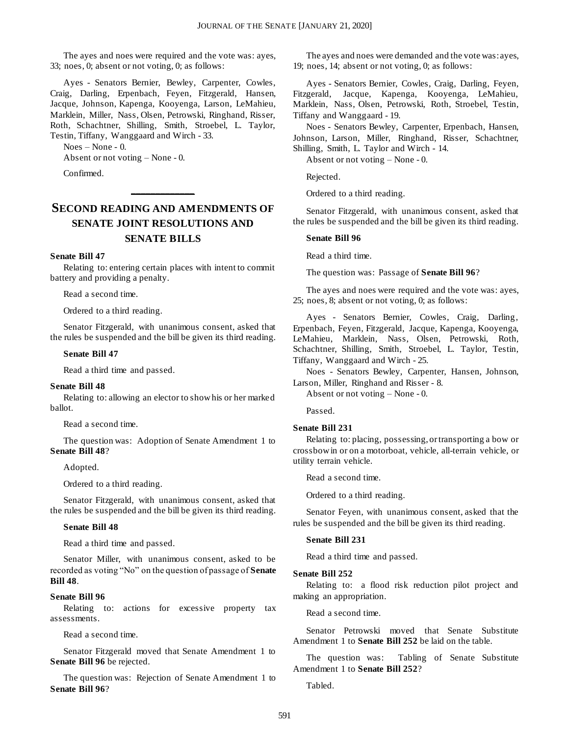The ayes and noes were required and the vote was: ayes, 33; noes, 0; absent or not voting, 0; as follows:

Ayes - Senators Bernier, Bewley, Carpenter, Cowles, Craig, Darling, Erpenbach, Feyen, Fitzgerald, Hansen, Jacque, Johnson, Kapenga, Kooyenga, Larson, LeMahieu, Marklein, Miller, Nass, Olsen, Petrowski, Ringhand, Risser, Roth, Schachtner, Shilling, Smith, Stroebel, L. Taylor, Testin, Tiffany, Wanggaard and Wirch - 33.

Noes – None - 0.

Absent or not voting – None - 0.

Confirmed.

## **SECOND READING AND AMENDMENTS OF SENATE JOINT RESOLUTIONS AND SENATE BILLS**

**\_\_\_\_\_\_\_\_\_\_\_\_\_**

#### **Senate Bill 47**

Relating to: entering certain places with intent to commit battery and providing a penalty.

Read a second time.

Ordered to a third reading.

Senator Fitzgerald, with unanimous consent, asked that the rules be suspended and the bill be given its third reading.

#### **Senate Bill 47**

Read a third time and passed.

#### **Senate Bill 48**

Relating to: allowing an elector to show his or her marked ballot.

Read a second time.

The question was: Adoption of Senate Amendment 1 to **Senate Bill 48**?

Adopted.

Ordered to a third reading.

Senator Fitzgerald, with unanimous consent, asked that the rules be suspended and the bill be given its third reading.

#### **Senate Bill 48**

Read a third time and passed.

Senator Miller, with unanimous consent, asked to be recorded as voting "No" on the question of passage of **Senate Bill 48**.

#### **Senate Bill 96**

Relating to: actions for excessive property tax assessments.

Read a second time.

Senator Fitzgerald moved that Senate Amendment 1 to **Senate Bill 96** be rejected.

The question was: Rejection of Senate Amendment 1 to **Senate Bill 96**?

The ayes and noes were demanded and the vote was: ayes, 19; noes, 14; absent or not voting, 0; as follows:

Ayes - Senators Bernier, Cowles, Craig, Darling, Feyen, Fitzgerald, Jacque, Kapenga, Kooyenga, LeMahieu, Marklein, Nass, Olsen, Petrowski, Roth, Stroebel, Testin, Tiffany and Wanggaard - 19.

Noes - Senators Bewley, Carpenter, Erpenbach, Hansen, Johnson, Larson, Miller, Ringhand, Risser, Schachtner, Shilling, Smith, L. Taylor and Wirch - 14.

Absent or not voting – None - 0.

Rejected.

Ordered to a third reading.

Senator Fitzgerald, with unanimous consent, asked that the rules be suspended and the bill be given its third reading.

#### **Senate Bill 96**

Read a third time.

The question was: Passage of **Senate Bill 96**?

The ayes and noes were required and the vote was: ayes, 25; noes, 8; absent or not voting, 0; as follows:

Ayes - Senators Bernier, Cowles, Craig, Darling, Erpenbach, Feyen, Fitzgerald, Jacque, Kapenga, Kooyenga, LeMahieu, Marklein, Nass, Olsen, Petrowski, Roth, Schachtner, Shilling, Smith, Stroebel, L. Taylor, Testin, Tiffany, Wanggaard and Wirch - 25.

Noes - Senators Bewley, Carpenter, Hansen, Johnson, Larson, Miller, Ringhand and Risser - 8.

Absent or not voting – None - 0.

Passed.

#### **Senate Bill 231**

Relating to: placing, possessing, or transporting a bow or crossbow in or on a motorboat, vehicle, all-terrain vehicle, or utility terrain vehicle.

Read a second time.

Ordered to a third reading.

Senator Feyen, with unanimous consent, asked that the rules be suspended and the bill be given its third reading.

#### **Senate Bill 231**

Read a third time and passed.

#### **Senate Bill 252**

Relating to: a flood risk reduction pilot project and making an appropriation.

Read a second time.

Senator Petrowski moved that Senate Substitute Amendment 1 to **Senate Bill 252** be laid on the table.

The question was: Tabling of Senate Substitute Amendment 1 to **Senate Bill 252**?

Tabled.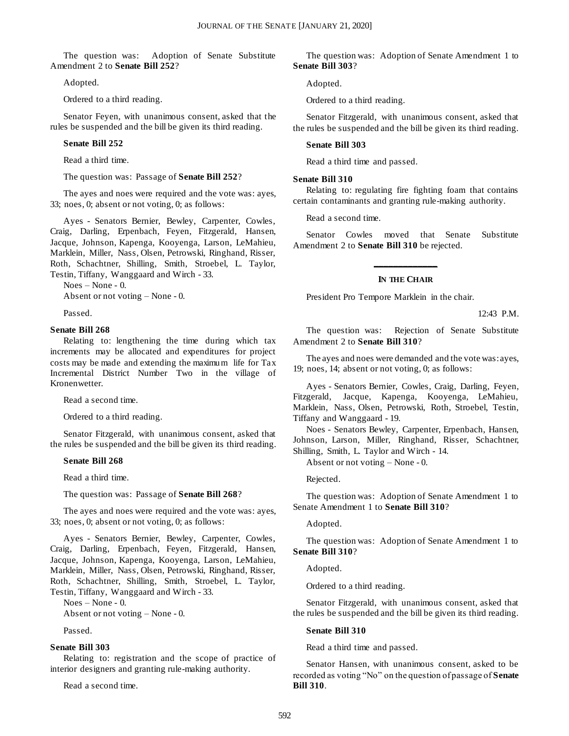The question was: Adoption of Senate Substitute Amendment 2 to **Senate Bill 252**?

Adopted.

Ordered to a third reading.

Senator Feyen, with unanimous consent, asked that the rules be suspended and the bill be given its third reading.

#### **Senate Bill 252**

Read a third time.

The question was: Passage of **Senate Bill 252**?

The ayes and noes were required and the vote was: ayes, 33; noes, 0; absent or not voting, 0; as follows:

Ayes - Senators Bernier, Bewley, Carpenter, Cowles, Craig, Darling, Erpenbach, Feyen, Fitzgerald, Hansen, Jacque, Johnson, Kapenga, Kooyenga, Larson, LeMahieu, Marklein, Miller, Nass, Olsen, Petrowski, Ringhand, Risser, Roth, Schachtner, Shilling, Smith, Stroebel, L. Taylor, Testin, Tiffany, Wanggaard and Wirch - 33.

Noes – None - 0.

Absent or not voting – None - 0.

Passed.

#### **Senate Bill 268**

Relating to: lengthening the time during which tax increments may be allocated and expenditures for project costs may be made and extending the maximum life for Tax Incremental District Number Two in the village of Kronenwetter.

Read a second time.

Ordered to a third reading.

Senator Fitzgerald, with unanimous consent, asked that the rules be suspended and the bill be given its third reading.

#### **Senate Bill 268**

Read a third time.

The question was: Passage of **Senate Bill 268**?

The ayes and noes were required and the vote was: ayes, 33; noes, 0; absent or not voting, 0; as follows:

Ayes - Senators Bernier, Bewley, Carpenter, Cowles, Craig, Darling, Erpenbach, Feyen, Fitzgerald, Hansen, Jacque, Johnson, Kapenga, Kooyenga, Larson, LeMahieu, Marklein, Miller, Nass, Olsen, Petrowski, Ringhand, Risser, Roth, Schachtner, Shilling, Smith, Stroebel, L. Taylor, Testin, Tiffany, Wanggaard and Wirch - 33.

Noes – None - 0.

Absent or not voting – None - 0.

Passed.

#### **Senate Bill 303**

Relating to: registration and the scope of practice of interior designers and granting rule-making authority.

Read a second time.

The question was: Adoption of Senate Amendment 1 to **Senate Bill 303**?

Adopted.

Ordered to a third reading.

Senator Fitzgerald, with unanimous consent, asked that the rules be suspended and the bill be given its third reading.

#### **Senate Bill 303**

Read a third time and passed.

#### **Senate Bill 310**

Relating to: regulating fire fighting foam that contains certain contaminants and granting rule-making authority.

Read a second time.

Senator Cowles moved that Senate Substitute Amendment 2 to **Senate Bill 310** be rejected.

## **\_\_\_\_\_\_\_\_\_\_\_\_\_ IN THE CHAIR**

President Pro Tempore Marklein in the chair.

12:43 P.M.

The question was: Rejection of Senate Substitute Amendment 2 to **Senate Bill 310**?

The ayes and noes were demanded and the vote was: ayes, 19; noes, 14; absent or not voting, 0; as follows:

Ayes - Senators Bernier, Cowles, Craig, Darling, Feyen, Fitzgerald, Jacque, Kapenga, Kooyenga, LeMahieu, Marklein, Nass, Olsen, Petrowski, Roth, Stroebel, Testin, Tiffany and Wanggaard - 19.

Noes - Senators Bewley, Carpenter, Erpenbach, Hansen, Johnson, Larson, Miller, Ringhand, Risser, Schachtner, Shilling, Smith, L. Taylor and Wirch - 14.

Absent or not voting – None - 0.

Rejected.

The question was: Adoption of Senate Amendment 1 to Senate Amendment 1 to **Senate Bill 310**?

Adopted.

The question was: Adoption of Senate Amendment 1 to **Senate Bill 310**?

Adopted.

Ordered to a third reading.

Senator Fitzgerald, with unanimous consent, asked that the rules be suspended and the bill be given its third reading.

#### **Senate Bill 310**

Read a third time and passed.

Senator Hansen, with unanimous consent, asked to be recorded as voting "No" on the question of passage of **Senate Bill 310**.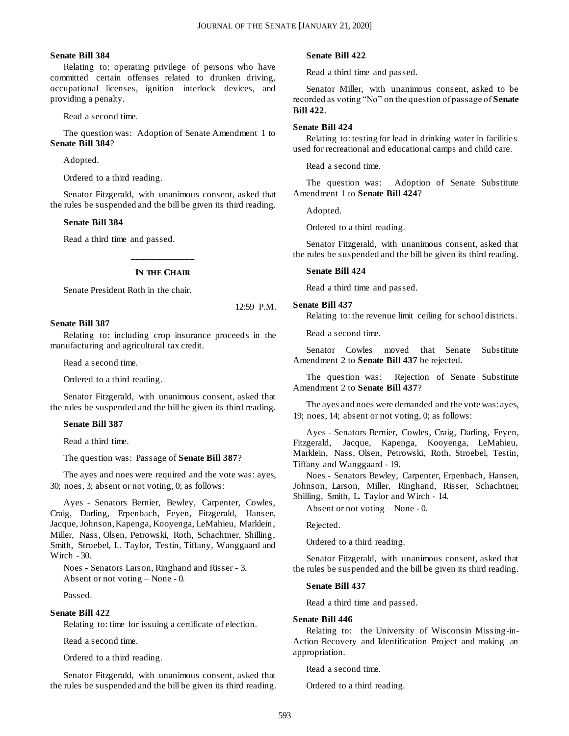#### **Senate Bill 384**

Relating to: operating privilege of persons who have committed certain offenses related to drunken driving, occupational licenses, ignition interlock devices, and providing a penalty.

Read a second time.

The question was: Adoption of Senate Amendment 1 to **Senate Bill 384**?

Adopted.

Ordered to a third reading.

Senator Fitzgerald, with unanimous consent, asked that the rules be suspended and the bill be given its third reading.

#### **Senate Bill 384**

Read a third time and passed.

## **\_\_\_\_\_\_\_\_\_\_\_\_\_ IN THE CHAIR**

Senate President Roth in the chair.

12:59 P.M.

#### **Senate Bill 387**

Relating to: including crop insurance proceeds in the manufacturing and agricultural tax credit.

Read a second time.

Ordered to a third reading.

Senator Fitzgerald, with unanimous consent, asked that the rules be suspended and the bill be given its third reading.

#### **Senate Bill 387**

Read a third time.

The question was: Passage of **Senate Bill 387**?

The ayes and noes were required and the vote was: ayes, 30; noes, 3; absent or not voting, 0; as follows:

Ayes - Senators Bernier, Bewley, Carpenter, Cowles, Craig, Darling, Erpenbach, Feyen, Fitzgerald, Hansen, Jacque, Johnson, Kapenga, Kooyenga, LeMahieu, Marklein, Miller, Nass, Olsen, Petrowski, Roth, Schachtner, Shilling, Smith, Stroebel, L. Taylor, Testin, Tiffany, Wanggaard and Wirch - 30.

Noes - Senators Larson, Ringhand and Risser - 3. Absent or not voting – None - 0.

Passed.

#### **Senate Bill 422**

Relating to: time for issuing a certificate of election.

Read a second time.

Ordered to a third reading.

Senator Fitzgerald, with unanimous consent, asked that the rules be suspended and the bill be given its third reading.

#### **Senate Bill 422**

Read a third time and passed.

Senator Miller, with unanimous consent, asked to be recorded as voting "No" on the question of passage of **Senate Bill 422**.

#### **Senate Bill 424**

Relating to: testing for lead in drinking water in facilities used for recreational and educational camps and child care.

Read a second time.

The question was: Adoption of Senate Substitute Amendment 1 to **Senate Bill 424**?

Adopted.

Ordered to a third reading.

Senator Fitzgerald, with unanimous consent, asked that the rules be suspended and the bill be given its third reading.

#### **Senate Bill 424**

Read a third time and passed.

#### **Senate Bill 437**

Relating to: the revenue limit ceiling for school districts.

Read a second time.

Senator Cowles moved that Senate Substitute Amendment 2 to **Senate Bill 437** be rejected.

The question was: Rejection of Senate Substitute Amendment 2 to **Senate Bill 437**?

The ayes and noes were demanded and the vote was: ayes, 19; noes, 14; absent or not voting, 0; as follows:

Ayes - Senators Bernier, Cowles, Craig, Darling, Feyen, Fitzgerald, Jacque, Kapenga, Kooyenga, LeMahieu, Marklein, Nass, Olsen, Petrowski, Roth, Stroebel, Testin, Tiffany and Wanggaard - 19.

Noes - Senators Bewley, Carpenter, Erpenbach, Hansen, Johnson, Larson, Miller, Ringhand, Risser, Schachtner, Shilling, Smith, L. Taylor and Wirch - 14.

Absent or not voting – None - 0.

Rejected.

Ordered to a third reading.

Senator Fitzgerald, with unanimous consent, asked that the rules be suspended and the bill be given its third reading.

#### **Senate Bill 437**

Read a third time and passed.

#### **Senate Bill 446**

Relating to: the University of Wisconsin Missing-in-Action Recovery and Identification Project and making an appropriation.

Read a second time.

Ordered to a third reading.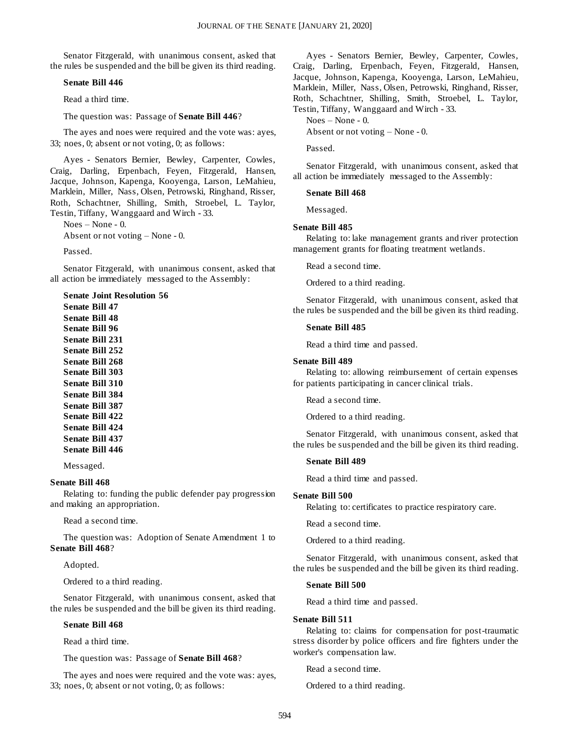Senator Fitzgerald, with unanimous consent, asked that the rules be suspended and the bill be given its third reading.

#### **Senate Bill 446**

Read a third time.

The question was: Passage of **Senate Bill 446**?

The ayes and noes were required and the vote was: ayes, 33; noes, 0; absent or not voting, 0; as follows:

Ayes - Senators Bernier, Bewley, Carpenter, Cowles, Craig, Darling, Erpenbach, Feyen, Fitzgerald, Hansen, Jacque, Johnson, Kapenga, Kooyenga, Larson, LeMahieu, Marklein, Miller, Nass, Olsen, Petrowski, Ringhand, Risser, Roth, Schachtner, Shilling, Smith, Stroebel, L. Taylor, Testin, Tiffany, Wanggaard and Wirch - 33.

Noes – None - 0.

Absent or not voting – None - 0.

Passed.

Senator Fitzgerald, with unanimous consent, asked that all action be immediately messaged to the Assembly:

**Senate Joint Resolution 56 Senate Bill 47 Senate Bill 48 Senate Bill 96 Senate Bill 231 Senate Bill 252 Senate Bill 268 Senate Bill 303 Senate Bill 310 Senate Bill 384 Senate Bill 387 Senate Bill 422 Senate Bill 424 Senate Bill 437 Senate Bill 446**

Messaged.

#### **Senate Bill 468**

Relating to: funding the public defender pay progression and making an appropriation.

Read a second time.

The question was: Adoption of Senate Amendment 1 to **Senate Bill 468**?

Adopted.

Ordered to a third reading.

Senator Fitzgerald, with unanimous consent, asked that the rules be suspended and the bill be given its third reading.

#### **Senate Bill 468**

Read a third time.

The question was: Passage of **Senate Bill 468**?

The ayes and noes were required and the vote was: ayes, 33; noes, 0; absent or not voting, 0; as follows:

Ayes - Senators Bernier, Bewley, Carpenter, Cowles, Craig, Darling, Erpenbach, Feyen, Fitzgerald, Hansen, Jacque, Johnson, Kapenga, Kooyenga, Larson, LeMahieu, Marklein, Miller, Nass, Olsen, Petrowski, Ringhand, Risser, Roth, Schachtner, Shilling, Smith, Stroebel, L. Taylor, Testin, Tiffany, Wanggaard and Wirch - 33.

Noes – None - 0.

Absent or not voting – None - 0.

Passed.

Senator Fitzgerald, with unanimous consent, asked that all action be immediately messaged to the Assembly:

**Senate Bill 468**

Messaged.

#### **Senate Bill 485**

Relating to: lake management grants and river protection management grants for floating treatment wetlands.

Read a second time.

Ordered to a third reading.

Senator Fitzgerald, with unanimous consent, asked that the rules be suspended and the bill be given its third reading.

#### **Senate Bill 485**

Read a third time and passed.

#### **Senate Bill 489**

Relating to: allowing reimbursement of certain expenses for patients participating in cancer clinical trials.

Read a second time.

Ordered to a third reading.

Senator Fitzgerald, with unanimous consent, asked that the rules be suspended and the bill be given its third reading.

#### **Senate Bill 489**

Read a third time and passed.

#### **Senate Bill 500**

Relating to: certificates to practice respiratory care.

Read a second time.

Ordered to a third reading.

Senator Fitzgerald, with unanimous consent, asked that the rules be suspended and the bill be given its third reading.

#### **Senate Bill 500**

Read a third time and passed.

#### **Senate Bill 511**

Relating to: claims for compensation for post-traumatic stress disorder by police officers and fire fighters under the worker's compensation law.

Read a second time.

Ordered to a third reading.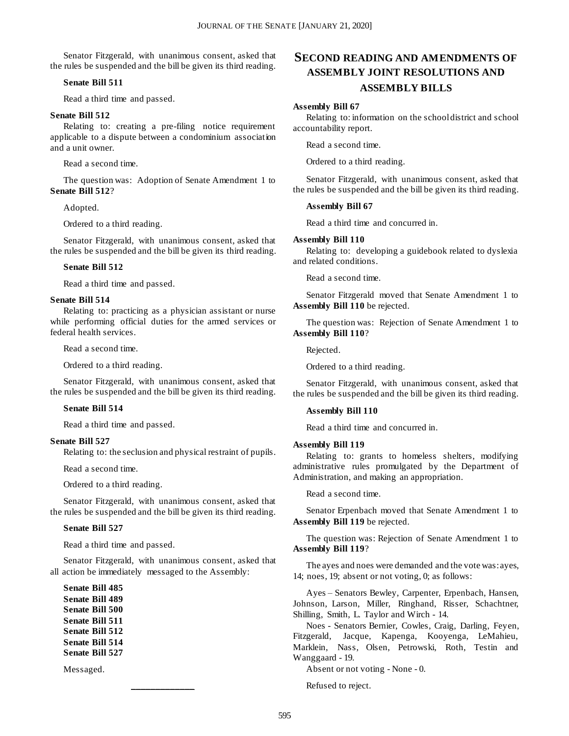Senator Fitzgerald, with unanimous consent, asked that the rules be suspended and the bill be given its third reading.

#### **Senate Bill 511**

Read a third time and passed.

#### **Senate Bill 512**

Relating to: creating a pre-filing notice requirement applicable to a dispute between a condominium association and a unit owner.

Read a second time.

The question was: Adoption of Senate Amendment 1 to **Senate Bill 512**?

Adopted.

Ordered to a third reading.

Senator Fitzgerald, with unanimous consent, asked that the rules be suspended and the bill be given its third reading.

#### **Senate Bill 512**

Read a third time and passed.

#### **Senate Bill 514**

Relating to: practicing as a physician assistant or nurse while performing official duties for the armed services or federal health services.

Read a second time.

Ordered to a third reading.

Senator Fitzgerald, with unanimous consent, asked that the rules be suspended and the bill be given its third reading.

#### **Senate Bill 514**

Read a third time and passed.

#### **Senate Bill 527**

Relating to: the seclusion and physical restraint of pupils.

Read a second time.

Ordered to a third reading.

Senator Fitzgerald, with unanimous consent, asked that the rules be suspended and the bill be given its third reading.

#### **Senate Bill 527**

Read a third time and passed.

Senator Fitzgerald, with unanimous consent, asked that all action be immediately messaged to the Assembly:

**\_\_\_\_\_\_\_\_\_\_\_\_\_**

**Senate Bill 485 Senate Bill 489 Senate Bill 500 Senate Bill 511 Senate Bill 512 Senate Bill 514 Senate Bill 527**

Messaged.

## **SECOND READING AND AMENDMENTS OF ASSEMBLY JOINT RESOLUTIONS AND ASSEMBLY BILLS**

#### **Assembly Bill 67**

Relating to: information on the school district and school accountability report.

Read a second time.

Ordered to a third reading.

Senator Fitzgerald, with unanimous consent, asked that the rules be suspended and the bill be given its third reading.

#### **Assembly Bill 67**

Read a third time and concurred in.

#### **Assembly Bill 110**

Relating to: developing a guidebook related to dyslexia and related conditions.

Read a second time.

Senator Fitzgerald moved that Senate Amendment 1 to **Assembly Bill 110** be rejected.

The question was: Rejection of Senate Amendment 1 to **Assembly Bill 110**?

Rejected.

Ordered to a third reading.

Senator Fitzgerald, with unanimous consent, asked that the rules be suspended and the bill be given its third reading.

#### **Assembly Bill 110**

Read a third time and concurred in.

#### **Assembly Bill 119**

Relating to: grants to homeless shelters, modifying administrative rules promulgated by the Department of Administration, and making an appropriation.

Read a second time.

Senator Erpenbach moved that Senate Amendment 1 to **Assembly Bill 119** be rejected.

The question was: Rejection of Senate Amendment 1 to **Assembly Bill 119**?

The ayes and noes were demanded and the vote was: ayes, 14; noes, 19; absent or not voting, 0; as follows:

Ayes – Senators Bewley, Carpenter, Erpenbach, Hansen, Johnson, Larson, Miller, Ringhand, Risser, Schachtner, Shilling, Smith, L. Taylor and Wirch - 14.

Noes - Senators Bernier, Cowles, Craig, Darling, Feyen, Fitzgerald, Jacque, Kapenga, Kooyenga, LeMahieu, Marklein, Nass, Olsen, Petrowski, Roth, Testin and Wanggaard - 19.

Absent or not voting - None - 0.

Refused to reject.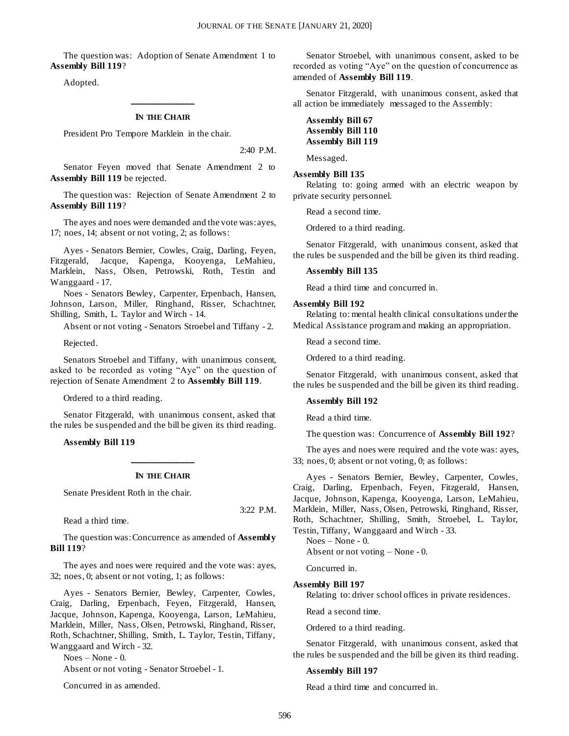The question was: Adoption of Senate Amendment 1 to **Assembly Bill 119**?

Adopted.

## **\_\_\_\_\_\_\_\_\_\_\_\_\_ IN THE CHAIR**

President Pro Tempore Marklein in the chair.

2:40 P.M.

Senator Feyen moved that Senate Amendment 2 to **Assembly Bill 119** be rejected.

The question was: Rejection of Senate Amendment 2 to **Assembly Bill 119**?

The ayes and noes were demanded and the vote was: ayes, 17; noes, 14; absent or not voting, 2; as follows:

Ayes - Senators Bernier, Cowles, Craig, Darling, Feyen, Fitzgerald, Jacque, Kapenga, Kooyenga, LeMahieu, Marklein, Nass, Olsen, Petrowski, Roth, Testin and Wanggaard - 17.

Noes - Senators Bewley, Carpenter, Erpenbach, Hansen, Johnson, Larson, Miller, Ringhand, Risser, Schachtner, Shilling, Smith, L. Taylor and Wirch - 14.

Absent or not voting - Senators Stroebel and Tiffany - 2.

Rejected.

Senators Stroebel and Tiffany, with unanimous consent, asked to be recorded as voting "Aye" on the question of rejection of Senate Amendment 2 to **Assembly Bill 119**.

Ordered to a third reading.

Senator Fitzgerald, with unanimous consent, asked that the rules be suspended and the bill be given its third reading.

**Assembly Bill 119**

## **\_\_\_\_\_\_\_\_\_\_\_\_\_ IN THE CHAIR**

Senate President Roth in the chair.

Read a third time.

The question was: Concurrence as amended of **Assembly Bill 119**?

The ayes and noes were required and the vote was: ayes, 32; noes, 0; absent or not voting, 1; as follows:

Ayes - Senators Bernier, Bewley, Carpenter, Cowles, Craig, Darling, Erpenbach, Feyen, Fitzgerald, Hansen, Jacque, Johnson, Kapenga, Kooyenga, Larson, LeMahieu, Marklein, Miller, Nass, Olsen, Petrowski, Ringhand, Risser, Roth, Schachtner, Shilling, Smith, L. Taylor, Testin, Tiffany, Wanggaard and Wirch - 32.

Noes – None - 0.

Absent or not voting - Senator Stroebel - 1.

Concurred in as amended.

Senator Stroebel, with unanimous consent, asked to be recorded as voting "Aye" on the question of concurrence as amended of **Assembly Bill 119**.

Senator Fitzgerald, with unanimous consent, asked that all action be immediately messaged to the Assembly:

#### **Assembly Bill 67 Assembly Bill 110 Assembly Bill 119**

Messaged.

#### **Assembly Bill 135**

Relating to: going armed with an electric weapon by private security personnel.

Read a second time.

Ordered to a third reading.

Senator Fitzgerald, with unanimous consent, asked that the rules be suspended and the bill be given its third reading.

#### **Assembly Bill 135**

Read a third time and concurred in.

#### **Assembly Bill 192**

Relating to: mental health clinical consultations under the Medical Assistance program and making an appropriation.

Read a second time.

Ordered to a third reading.

Senator Fitzgerald, with unanimous consent, asked that the rules be suspended and the bill be given its third reading.

#### **Assembly Bill 192**

Read a third time.

The question was: Concurrence of **Assembly Bill 192**?

The ayes and noes were required and the vote was: ayes, 33; noes, 0; absent or not voting, 0; as follows:

Ayes - Senators Bernier, Bewley, Carpenter, Cowles, Craig, Darling, Erpenbach, Feyen, Fitzgerald, Hansen, Jacque, Johnson, Kapenga, Kooyenga, Larson, LeMahieu, Marklein, Miller, Nass, Olsen, Petrowski, Ringhand, Risser, Roth, Schachtner, Shilling, Smith, Stroebel, L. Taylor, Testin, Tiffany, Wanggaard and Wirch - 33.

Noes – None - 0. Absent or not voting – None - 0.

Concurred in.

#### **Assembly Bill 197**

Relating to: driver school offices in private residences.

Read a second time.

Ordered to a third reading.

Senator Fitzgerald, with unanimous consent, asked that the rules be suspended and the bill be given its third reading.

#### **Assembly Bill 197**

Read a third time and concurred in.

3:22 P.M.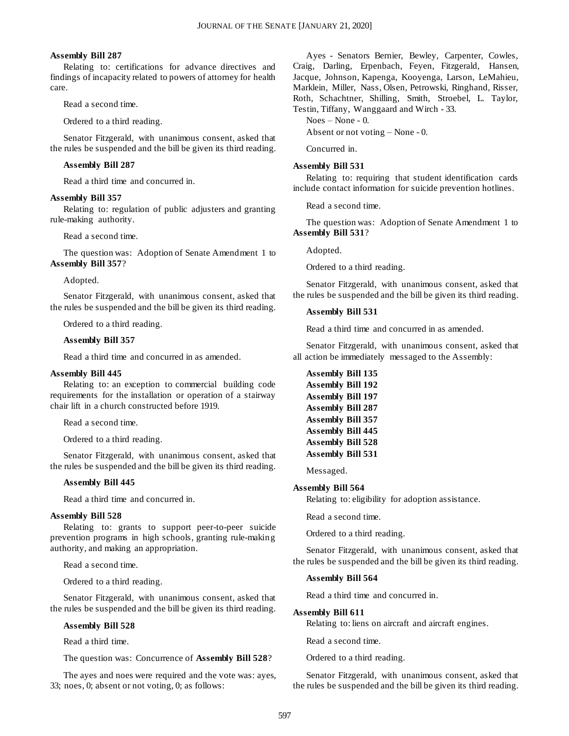#### **Assembly Bill 287**

Relating to: certifications for advance directives and findings of incapacity related to powers of attorney for health care.

Read a second time.

Ordered to a third reading.

Senator Fitzgerald, with unanimous consent, asked that the rules be suspended and the bill be given its third reading.

#### **Assembly Bill 287**

Read a third time and concurred in.

#### **Assembly Bill 357**

Relating to: regulation of public adjusters and granting rule-making authority.

Read a second time.

The question was: Adoption of Senate Amendment 1 to **Assembly Bill 357**?

Adopted.

Senator Fitzgerald, with unanimous consent, asked that the rules be suspended and the bill be given its third reading.

Ordered to a third reading.

#### **Assembly Bill 357**

Read a third time and concurred in as amended.

#### **Assembly Bill 445**

Relating to: an exception to commercial building code requirements for the installation or operation of a stairway chair lift in a church constructed before 1919.

Read a second time.

Ordered to a third reading.

Senator Fitzgerald, with unanimous consent, asked that the rules be suspended and the bill be given its third reading.

#### **Assembly Bill 445**

Read a third time and concurred in.

#### **Assembly Bill 528**

Relating to: grants to support peer-to-peer suicide prevention programs in high schools, granting rule-making authority, and making an appropriation.

Read a second time.

Ordered to a third reading.

Senator Fitzgerald, with unanimous consent, asked that the rules be suspended and the bill be given its third reading.

#### **Assembly Bill 528**

Read a third time.

The question was: Concurrence of **Assembly Bill 528**?

The ayes and noes were required and the vote was: ayes, 33; noes, 0; absent or not voting, 0; as follows:

Ayes - Senators Bernier, Bewley, Carpenter, Cowles, Craig, Darling, Erpenbach, Feyen, Fitzgerald, Hansen, Jacque, Johnson, Kapenga, Kooyenga, Larson, LeMahieu, Marklein, Miller, Nass, Olsen, Petrowski, Ringhand, Risser, Roth, Schachtner, Shilling, Smith, Stroebel, L. Taylor, Testin, Tiffany, Wanggaard and Wirch - 33.

Noes – None - 0.

Absent or not voting – None - 0.

Concurred in.

#### **Assembly Bill 531**

Relating to: requiring that student identification cards include contact information for suicide prevention hotlines.

Read a second time.

The question was: Adoption of Senate Amendment 1 to **Assembly Bill 531**?

Adopted.

Ordered to a third reading.

Senator Fitzgerald, with unanimous consent, asked that the rules be suspended and the bill be given its third reading.

#### **Assembly Bill 531**

Read a third time and concurred in as amended.

Senator Fitzgerald, with unanimous consent, asked that all action be immediately messaged to the Assembly:

| <b>Assembly Bill 135</b> |
|--------------------------|
| <b>Assembly Bill 192</b> |
| <b>Assembly Bill 197</b> |
| <b>Assembly Bill 287</b> |
| <b>Assembly Bill 357</b> |
| <b>Assembly Bill 445</b> |
| <b>Assembly Bill 528</b> |
| <b>Assembly Bill 531</b> |
|                          |

Messaged.

#### **Assembly Bill 564**

Relating to: eligibility for adoption assistance.

Read a second time.

Ordered to a third reading.

Senator Fitzgerald, with unanimous consent, asked that the rules be suspended and the bill be given its third reading.

#### **Assembly Bill 564**

Read a third time and concurred in.

#### **Assembly Bill 611**

Relating to: liens on aircraft and aircraft engines.

Read a second time.

Ordered to a third reading.

Senator Fitzgerald, with unanimous consent, asked that the rules be suspended and the bill be given its third reading.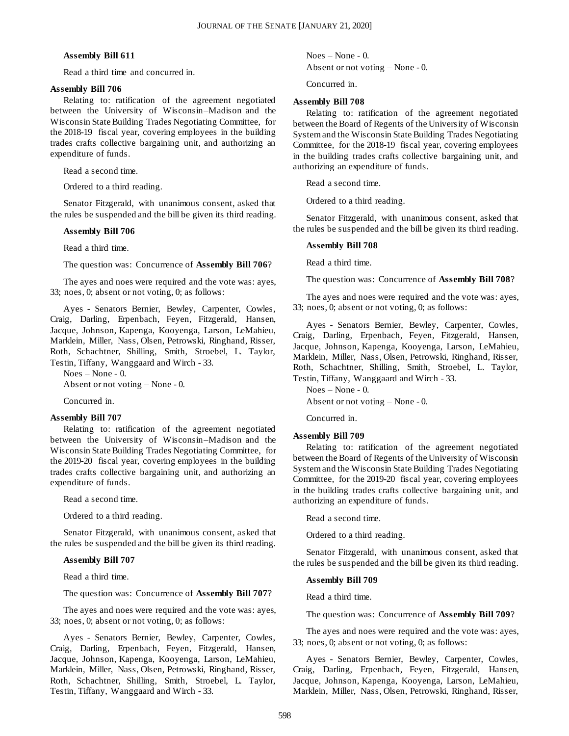#### **Assembly Bill 611**

Read a third time and concurred in.

#### **Assembly Bill 706**

Relating to: ratification of the agreement negotiated between the University of Wisconsin–Madison and the Wisconsin State Building Trades Negotiating Committee, for the 2018-19 fiscal year, covering employees in the building trades crafts collective bargaining unit, and authorizing an expenditure of funds.

Read a second time.

Ordered to a third reading.

Senator Fitzgerald, with unanimous consent, asked that the rules be suspended and the bill be given its third reading.

#### **Assembly Bill 706**

Read a third time.

The question was: Concurrence of **Assembly Bill 706**?

The ayes and noes were required and the vote was: ayes, 33; noes, 0; absent or not voting, 0; as follows:

Ayes - Senators Bernier, Bewley, Carpenter, Cowles, Craig, Darling, Erpenbach, Feyen, Fitzgerald, Hansen, Jacque, Johnson, Kapenga, Kooyenga, Larson, LeMahieu, Marklein, Miller, Nass, Olsen, Petrowski, Ringhand, Risser, Roth, Schachtner, Shilling, Smith, Stroebel, L. Taylor, Testin, Tiffany, Wanggaard and Wirch - 33.

Noes – None - 0. Absent or not voting – None - 0.

Concurred in.

#### **Assembly Bill 707**

Relating to: ratification of the agreement negotiated between the University of Wisconsin–Madison and the Wisconsin State Building Trades Negotiating Committee, for the 2019-20 fiscal year, covering employees in the building trades crafts collective bargaining unit, and authorizing an expenditure of funds.

Read a second time.

Ordered to a third reading.

Senator Fitzgerald, with unanimous consent, asked that the rules be suspended and the bill be given its third reading.

#### **Assembly Bill 707**

Read a third time.

The question was: Concurrence of **Assembly Bill 707**?

The ayes and noes were required and the vote was: ayes, 33; noes, 0; absent or not voting, 0; as follows:

Ayes - Senators Bernier, Bewley, Carpenter, Cowles, Craig, Darling, Erpenbach, Feyen, Fitzgerald, Hansen, Jacque, Johnson, Kapenga, Kooyenga, Larson, LeMahieu, Marklein, Miller, Nass, Olsen, Petrowski, Ringhand, Risser, Roth, Schachtner, Shilling, Smith, Stroebel, L. Taylor, Testin, Tiffany, Wanggaard and Wirch - 33.

Noes – None - 0.

Absent or not voting – None - 0.

Concurred in.

#### **Assembly Bill 708**

Relating to: ratification of the agreement negotiated between the Board of Regents of the University of Wisconsin System and the Wisconsin State Building Trades Negotiating Committee, for the 2018-19 fiscal year, covering employees in the building trades crafts collective bargaining unit, and authorizing an expenditure of funds.

Read a second time.

Ordered to a third reading.

Senator Fitzgerald, with unanimous consent, asked that the rules be suspended and the bill be given its third reading.

#### **Assembly Bill 708**

Read a third time.

The question was: Concurrence of **Assembly Bill 708**?

The ayes and noes were required and the vote was: ayes, 33; noes, 0; absent or not voting, 0; as follows:

Ayes - Senators Bernier, Bewley, Carpenter, Cowles, Craig, Darling, Erpenbach, Feyen, Fitzgerald, Hansen, Jacque, Johnson, Kapenga, Kooyenga, Larson, LeMahieu, Marklein, Miller, Nass, Olsen, Petrowski, Ringhand, Risser, Roth, Schachtner, Shilling, Smith, Stroebel, L. Taylor, Testin, Tiffany, Wanggaard and Wirch - 33.

Noes – None - 0.

Absent or not voting – None - 0.

Concurred in.

#### **Assembly Bill 709**

Relating to: ratification of the agreement negotiated between the Board of Regents of the University of Wisconsin System and the Wisconsin State Building Trades Negotiating Committee, for the 2019-20 fiscal year, covering employees in the building trades crafts collective bargaining unit, and authorizing an expenditure of funds.

Read a second time.

Ordered to a third reading.

Senator Fitzgerald, with unanimous consent, asked that the rules be suspended and the bill be given its third reading.

#### **Assembly Bill 709**

Read a third time.

The question was: Concurrence of **Assembly Bill 709**?

The ayes and noes were required and the vote was: ayes, 33; noes, 0; absent or not voting, 0; as follows:

Ayes - Senators Bernier, Bewley, Carpenter, Cowles, Craig, Darling, Erpenbach, Feyen, Fitzgerald, Hansen, Jacque, Johnson, Kapenga, Kooyenga, Larson, LeMahieu, Marklein, Miller, Nass, Olsen, Petrowski, Ringhand, Risser,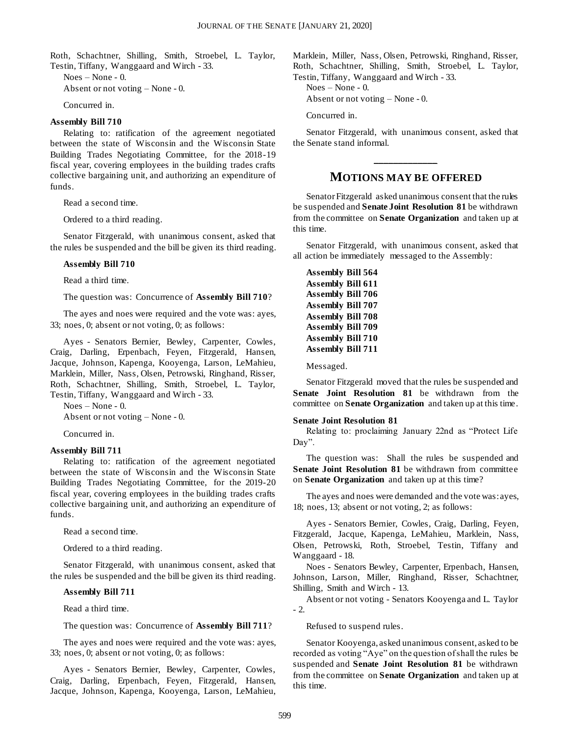Roth, Schachtner, Shilling, Smith, Stroebel, L. Taylor, Testin, Tiffany, Wanggaard and Wirch - 33.

Noes – None - 0. Absent or not voting – None - 0.

Concurred in.

#### **Assembly Bill 710**

Relating to: ratification of the agreement negotiated between the state of Wisconsin and the Wisconsin State Building Trades Negotiating Committee, for the 2018-19 fiscal year, covering employees in the building trades crafts collective bargaining unit, and authorizing an expenditure of funds.

Read a second time.

Ordered to a third reading.

Senator Fitzgerald, with unanimous consent, asked that the rules be suspended and the bill be given its third reading.

#### **Assembly Bill 710**

Read a third time.

The question was: Concurrence of **Assembly Bill 710**?

The ayes and noes were required and the vote was: ayes, 33; noes, 0; absent or not voting, 0; as follows:

Ayes - Senators Bernier, Bewley, Carpenter, Cowles, Craig, Darling, Erpenbach, Feyen, Fitzgerald, Hansen, Jacque, Johnson, Kapenga, Kooyenga, Larson, LeMahieu, Marklein, Miller, Nass, Olsen, Petrowski, Ringhand, Risser, Roth, Schachtner, Shilling, Smith, Stroebel, L. Taylor, Testin, Tiffany, Wanggaard and Wirch - 33.

Noes – None - 0.

Absent or not voting – None - 0.

Concurred in.

#### **Assembly Bill 711**

Relating to: ratification of the agreement negotiated between the state of Wisconsin and the Wisconsin State Building Trades Negotiating Committee, for the 2019-20 fiscal year, covering employees in the building trades crafts collective bargaining unit, and authorizing an expenditure of funds.

Read a second time.

Ordered to a third reading.

Senator Fitzgerald, with unanimous consent, asked that the rules be suspended and the bill be given its third reading.

#### **Assembly Bill 711**

Read a third time.

The question was: Concurrence of **Assembly Bill 711**?

The ayes and noes were required and the vote was: ayes, 33; noes, 0; absent or not voting, 0; as follows:

Ayes - Senators Bernier, Bewley, Carpenter, Cowles, Craig, Darling, Erpenbach, Feyen, Fitzgerald, Hansen, Jacque, Johnson, Kapenga, Kooyenga, Larson, LeMahieu, Marklein, Miller, Nass, Olsen, Petrowski, Ringhand, Risser, Roth, Schachtner, Shilling, Smith, Stroebel, L. Taylor, Testin, Tiffany, Wanggaard and Wirch - 33.

Noes – None - 0.

Absent or not voting – None - 0.

Concurred in.

Senator Fitzgerald, with unanimous consent, asked that the Senate stand informal.

## **\_\_\_\_\_\_\_\_\_\_\_\_\_ MOTIONS MAY BE OFFERED**

Senator Fitzgerald asked unanimous consent that the rules be suspended and **Senate Joint Resolution 81** be withdrawn from the committee on **Senate Organization** and taken up at this time.

Senator Fitzgerald, with unanimous consent, asked that all action be immediately messaged to the Assembly:

| <b>Assembly Bill 564</b> |  |
|--------------------------|--|
| <b>Assembly Bill 611</b> |  |
| <b>Assembly Bill 706</b> |  |
| <b>Assembly Bill 707</b> |  |
| <b>Assembly Bill 708</b> |  |
| <b>Assembly Bill 709</b> |  |
| <b>Assembly Bill 710</b> |  |
| <b>Assembly Bill 711</b> |  |

Messaged.

Senator Fitzgerald moved that the rules be suspended and **Senate Joint Resolution 81** be withdrawn from the committee on **Senate Organization** and taken up at this time.

#### **Senate Joint Resolution 81**

Relating to: proclaiming January 22nd as "Protect Life Day".

The question was: Shall the rules be suspended and **Senate Joint Resolution 81** be withdrawn from committee on **Senate Organization** and taken up at this time?

The ayes and noes were demanded and the vote was: ayes, 18; noes, 13; absent or not voting, 2; as follows:

Ayes - Senators Bernier, Cowles, Craig, Darling, Feyen, Fitzgerald, Jacque, Kapenga, LeMahieu, Marklein, Nass, Olsen, Petrowski, Roth, Stroebel, Testin, Tiffany and Wanggaard - 18.

Noes - Senators Bewley, Carpenter, Erpenbach, Hansen, Johnson, Larson, Miller, Ringhand, Risser, Schachtner, Shilling, Smith and Wirch - 13.

Absent or not voting - Senators Kooyenga and L. Taylor - 2.

Refused to suspend rules.

Senator Kooyenga, asked unanimous consent, asked to be recorded as voting "Aye" on the question of shall the rules be suspended and **Senate Joint Resolution 81** be withdrawn from the committee on **Senate Organization** and taken up at this time.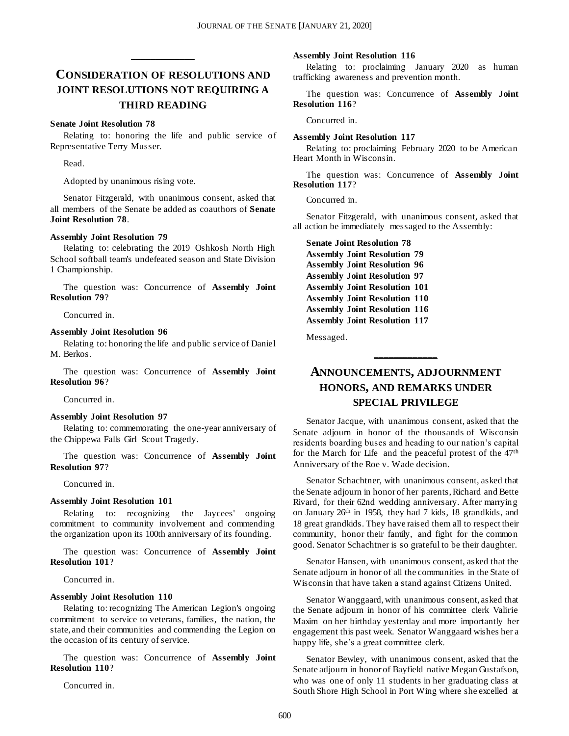## **CONSIDERATION OF RESOLUTIONS AND JOINT RESOLUTIONS NOT REQUIRING A THIRD READING**

**\_\_\_\_\_\_\_\_\_\_\_\_\_**

#### **Senate Joint Resolution 78**

Relating to: honoring the life and public service of Representative Terry Musser.

Read.

Adopted by unanimous rising vote.

Senator Fitzgerald, with unanimous consent, asked that all members of the Senate be added as coauthors of **Senate Joint Resolution 78**.

#### **Assembly Joint Resolution 79**

Relating to: celebrating the 2019 Oshkosh North High School softball team's undefeated season and State Division 1 Championship.

The question was: Concurrence of **Assembly Joint Resolution 79**?

Concurred in.

#### **Assembly Joint Resolution 96**

Relating to: honoring the life and public s ervice of Daniel M. Berkos.

The question was: Concurrence of **Assembly Joint Resolution 96**?

Concurred in.

#### **Assembly Joint Resolution 97**

Relating to: commemorating the one-year anniversary of the Chippewa Falls Girl Scout Tragedy.

The question was: Concurrence of **Assembly Joint Resolution 97**?

Concurred in.

#### **Assembly Joint Resolution 101**

Relating to: recognizing the Jaycees' ongoing commitment to community involvement and commending the organization upon its 100th anniversary of its founding.

The question was: Concurrence of **Assembly Joint Resolution 101**?

Concurred in.

#### **Assembly Joint Resolution 110**

Relating to: recognizing The American Legion's ongoing commitment to service to veterans, families, the nation, the state, and their communities and commending the Legion on the occasion of its century of service.

The question was: Concurrence of **Assembly Joint Resolution 110**?

Concurred in.

#### **Assembly Joint Resolution 116**

Relating to: proclaiming January 2020 as human trafficking awareness and prevention month.

The question was: Concurrence of **Assembly Joint Resolution 116**?

Concurred in.

#### **Assembly Joint Resolution 117**

Relating to: proclaiming February 2020 to be American Heart Month in Wisconsin.

The question was: Concurrence of **Assembly Joint Resolution 117**?

Concurred in.

Senator Fitzgerald, with unanimous consent, asked that all action be immediately messaged to the Assembly:

**Senate Joint Resolution 78 Assembly Joint Resolution 79 Assembly Joint Resolution 96 Assembly Joint Resolution 97 Assembly Joint Resolution 101 Assembly Joint Resolution 110 Assembly Joint Resolution 116 Assembly Joint Resolution 117**

Messaged.

## **ANNOUNCEMENTS, ADJOURNMENT HONORS, AND REMARKS UNDER SPECIAL PRIVILEGE**

**\_\_\_\_\_\_\_\_\_\_\_\_\_**

Senator Jacque, with unanimous consent, asked that the Senate adjourn in honor of the thousands of Wisconsin residents boarding buses and heading to our nation's capital for the March for Life and the peaceful protest of the 47<sup>th</sup> Anniversary of the Roe v. Wade decision.

Senator Schachtner, with unanimous consent, asked that the Senate adjourn in honor of her parents, Richard and Bette Rivard, for their 62nd wedding anniversary. After marrying on January 26th in 1958, they had 7 kids, 18 grandkids, and 18 great grandkids. They have raised them all to respect their community, honor their family, and fight for the common good. Senator Schachtner is so grateful to be their daughter.

Senator Hansen, with unanimous consent, asked that the Senate adjourn in honor of all the communities in the State of Wisconsin that have taken a stand against Citizens United.

Senator Wanggaard, with unanimous consent, asked that the Senate adjourn in honor of his committee clerk Valirie Maxim on her birthday yesterday and more importantly her engagement this past week. Senator Wanggaard wishes her a happy life, she's a great committee clerk.

Senator Bewley, with unanimous consent, asked that the Senate adjourn in honor of Bayfield native Megan Gustafson, who was one of only 11 students in her graduating class at South Shore High School in Port Wing where she excelled at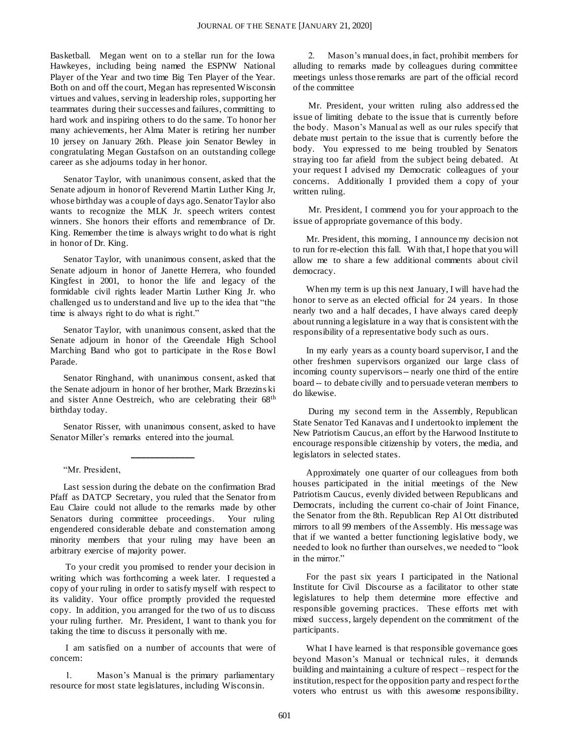Basketball. Megan went on to a stellar run for the Iowa Hawkeyes, including being named the ESPNW National Player of the Year and two time Big Ten Player of the Year. Both on and off the court, Megan has represented Wisconsin virtues and values, serving in leadership roles, supporting her teammates during their successes and failures, committing to hard work and inspiring others to do the same. To honor her many achievements, her Alma Mater is retiring her number 10 jersey on January 26th. Please join Senator Bewley in congratulating Megan Gustafson on an outstanding college career as she adjourns today in her honor.

Senator Taylor, with unanimous consent, asked that the Senate adjourn in honor of Reverend Martin Luther King Jr, whose birthday was a couple of days ago. Senator Taylor also wants to recognize the MLK Jr. speech writers contest winners. She honors their efforts and remembrance of Dr. King. Remember the time is always wright to do what is right in honor of Dr. King.

Senator Taylor, with unanimous consent, asked that the Senate adjourn in honor of Janette Herrera, who founded Kingfest in 2001, to honor the life and legacy of the formidable civil rights leader Martin Luther King Jr. who challenged us to understand and live up to the idea that "the time is always right to do what is right."

Senator Taylor, with unanimous consent, asked that the Senate adjourn in honor of the Greendale High School Marching Band who got to participate in the Rose Bowl Parade.

Senator Ringhand, with unanimous consent, asked that the Senate adjourn in honor of her brother, Mark Brzezins ki and sister Anne Oestreich, who are celebrating their 68th birthday today.

Senator Risser, with unanimous consent, asked to have Senator Miller's remarks entered into the journal.

**\_\_\_\_\_\_\_\_\_\_\_\_\_**

"Mr. President,

Last session during the debate on the confirmation Brad Pfaff as DATCP Secretary, you ruled that the Senator from Eau Claire could not allude to the remarks made by other Senators during committee proceedings. Your ruling engendered considerable debate and consternation among minority members that your ruling may have been an arbitrary exercise of majority power.

To your credit you promised to render your decision in writing which was forthcoming a week later. I requested a copy of your ruling in order to satisfy myself with respect to its validity. Your office promptly provided the requested copy. In addition, you arranged for the two of us to discuss your ruling further. Mr. President, I want to thank you for taking the time to discuss it personally with me.

I am satisfied on a number of accounts that were of concern:

1. Mason's Manual is the primary parliamentary resource for most state legislatures, including Wisconsin.

2. Mason's manual does, in fact, prohibit members for alluding to remarks made by colleagues during committee meetings unless those remarks are part of the official record of the committee

Mr. President, your written ruling also address ed the issue of limiting debate to the issue that is currently before the body. Mason's Manual as well as our rules specify that debate must pertain to the issue that is currently before the body. You expressed to me being troubled by Senators straying too far afield from the subject being debated. At your request I advised my Democratic colleagues of your concerns. Additionally I provided them a copy of your written ruling.

Mr. President, I commend you for your approach to the issue of appropriate governance of this body.

Mr. President, this morning, I announce my decision not to run for re-election this fall. With that, I hope that you will allow me to share a few additional comments about civil democracy.

When my term is up this next January, I will have had the honor to serve as an elected official for 24 years. In those nearly two and a half decades, I have always cared deeply about running a legislature in a way that is consistent with the responsibility of a representative body such as ours.

In my early years as a county board supervisor, I and the other freshmen supervisors organized our large class of incoming county supervisors-- nearly one third of the entire board -- to debate civilly and to persuade veteran members to do likewise.

During my second term in the Assembly, Republican State Senator Ted Kanavas and I undertook to implement the New Patriotism Caucus, an effort by the Harwood Institute to encourage responsible citizenship by voters, the media, and legislators in selected states.

Approximately one quarter of our colleagues from both houses participated in the initial meetings of the New Patriotism Caucus, evenly divided between Republicans and Democrats, including the current co-chair of Joint Finance, the Senator from the 8th. Republican Rep Al Ott distributed mirrors to all 99 members of the Assembly. His message was that if we wanted a better functioning legislative body, we needed to look no further than ourselves, we needed to "look in the mirror."

For the past six years I participated in the National Institute for Civil Discourse as a facilitator to other state legislatures to help them determine more effective and responsible governing practices. These efforts met with mixed success, largely dependent on the commitment of the participants.

What I have learned is that responsible governance goes beyond Mason's Manual or technical rules, it demands building and maintaining a culture of respect – respect for the institution, respect for the opposition party and respect for the voters who entrust us with this awesome responsibility.